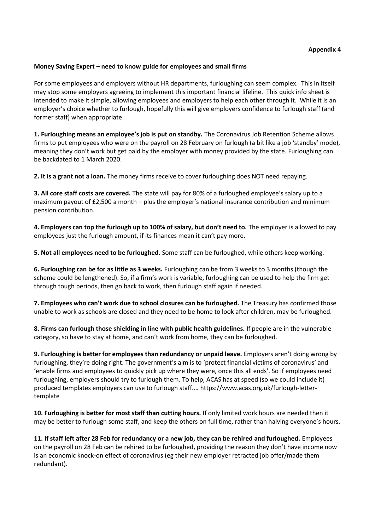## **Appendix 4**

## **Money Saving Expert – need to know guide for employees and small firms**

For some employees and employers without HR departments, furloughing can seem complex. This in itself may stop some employers agreeing to implement this important financial lifeline. This quick info sheet is intended to make it simple, allowing employees and employers to help each other through it. While it is an employer's choice whether to furlough, hopefully this will give employers confidence to furlough staff (and former staff) when appropriate.

**1. Furloughing means an employee's job is put on standby.** The Coronavirus Job Retention Scheme allows firms to put employees who were on the payroll on 28 February on furlough (a bit like a job 'standby' mode), meaning they don't work but get paid by the employer with money provided by the state. Furloughing can be backdated to 1 March 2020.

**2. It is a grant not a loan.** The money firms receive to cover furloughing does NOT need repaying.

**3. All core staff costs are covered.** The state will pay for 80% of a furloughed employee's salary up to a maximum payout of £2,500 a month – plus the employer's national insurance contribution and minimum pension contribution.

**4. Employers can top the furlough up to 100% of salary, but don't need to.** The employer is allowed to pay employees just the furlough amount, if its finances mean it can't pay more.

**5. Not all employees need to be furloughed.** Some staff can be furloughed, while others keep working.

**6. Furloughing can be for as little as 3 weeks.** Furloughing can be from 3 weeks to 3 months (though the scheme could be lengthened). So, if a firm's work is variable, furloughing can be used to help the firm get through tough periods, then go back to work, then furlough staff again if needed.

**7. Employees who can't work due to school closures can be furloughed.** The Treasury has confirmed those unable to work as schools are closed and they need to be home to look after children, may be furloughed.

**8. Firms can furlough those shielding in line with public health guidelines.** If people are in the vulnerable category, so have to stay at home, and can't work from home, they can be furloughed.

**9. Furloughing is better for employees than redundancy or unpaid leave.** Employers aren't doing wrong by furloughing, they're doing right. The government's aim is to 'protect financial victims of coronavirus' and 'enable firms and employees to quickly pick up where they were, once this all ends'. So if employees need furloughing, employers should try to furlough them. To help, ACAS has at speed (so we could include it) produced templates employers can use to furlough staff*.*… https://www.acas.org.uk/furlough-lettertemplate

**10. Furloughing is better for most staff than cutting hours.** If only limited work hours are needed then it may be better to furlough some staff, and keep the others on full time, rather than halving everyone's hours.

**11. If staff left after 28 Feb for redundancy or a new job, they can be rehired and furloughed.** Employees on the payroll on 28 Feb can be rehired to be furloughed, providing the reason they don't have income now is an economic knock-on effect of coronavirus (eg their new employer retracted job offer/made them redundant).